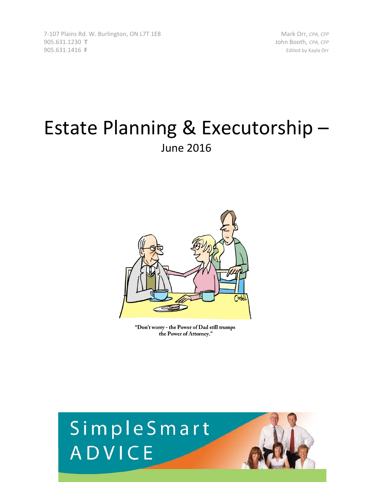7‐107 Plains Rd. W. Burlington, ON L7T 1E8 Mark Orr, *CPA, CFP* 905.631.1230 **T** John Booth, *CPA, CFP* 905.631.1416 **F**  Edited by Kayla Orr

## Estate Planning & Executorship – June 2016



"Don't worry - the Power of Dad still trumps the Power of Attorney."

# SimpleSmart ADVICE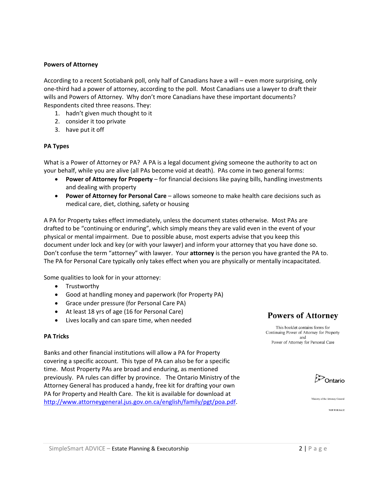#### **Powers of Attorney**

According to a recent Scotiabank poll, only half of Canadians have a will – even more surprising, only one‐third had a power of attorney, according to the poll. Most Canadians use a lawyer to draft their wills and Powers of Attorney. Why don't more Canadians have these important documents? Respondents cited three reasons. They:

- 1. hadn't given much thought to it
- 2. consider it too private
- 3. have put it off

#### **PA Types**

What is a Power of Attorney or PA? A PA is a legal document giving someone the authority to act on your behalf, while you are alive (all PAs become void at death). PAs come in two general forms:

- **Power of Attorney for Property** for financial decisions like paying bills, handling investments and dealing with property
- **Power of Attorney for Personal Care** allows someone to make health care decisions such as medical care, diet, clothing, safety or housing

A PA for Property takes effect immediately, unless the document states otherwise. Most PAs are drafted to be "continuing or enduring", which simply means they are valid even in the event of your physical or mental impairment. Due to possible abuse, most experts advise that you keep this document under lock and key (or with your lawyer) and inform your attorney that you have done so. Don't confuse the term "attorney" with lawyer. Your **attorney** is the person you have granted the PA to. The PA for Personal Care typically only takes effect when you are physically or mentally incapacitated.

Some qualities to look for in your attorney:

- Trustworthy
- Good at handling money and paperwork (for Property PA)
- Grace under pressure (for Personal Care PA)
- At least 18 yrs of age (16 for Personal Care)
- Lives locally and can spare time, when needed

#### **PA Tricks**

Banks and other financial institutions will allow a PA for Property covering a specific account. This type of PA can also be for a specific time. Most Property PAs are broad and enduring, as mentioned previously. PA rules can differ by province. The Ontario Ministry of the Attorney General has produced a handy, free kit for drafting your own PA for Property and Health Care. The kit is available for download at http://www.attorneygeneral.jus.gov.on.ca/english/family/pgt/poa.pdf.

**Powers of Attorney** 

This booklet contains forms for Continuing Power of Attorney for Property and Power of Attorney for Personal Care



Ministry of the Attorney Genera

**NOT FOR SALE**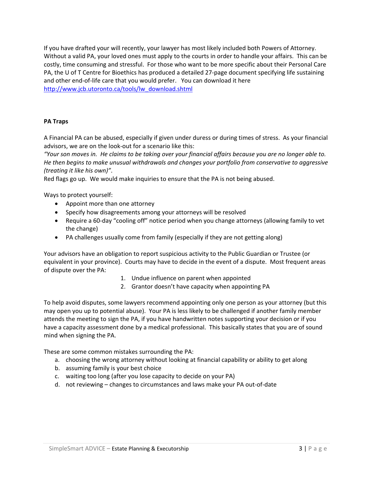If you have drafted your will recently, your lawyer has most likely included both Powers of Attorney. Without a valid PA, your loved ones must apply to the courts in order to handle your affairs. This can be costly, time consuming and stressful. For those who want to be more specific about their Personal Care PA, the U of T Centre for Bioethics has produced a detailed 27-page document specifying life sustaining and other end-of-life care that you would prefer. You can download it here http://www.jcb.utoronto.ca/tools/lw\_download.shtml

#### **PA Traps**

A Financial PA can be abused, especially if given under duress or during times of stress. As your financial advisors, we are on the look‐out for a scenario like this:

"Your son moves in. He claims to be taking over your financial affairs because you are no longer able to. *He then begins to make unusual withdrawals and changes your portfolio from conservative to aggressive (treating it like his own)"*.

Red flags go up. We would make inquiries to ensure that the PA is not being abused.

Ways to protect yourself:

- Appoint more than one attorney
- Specify how disagreements among your attorneys will be resolved
- Require a 60-day "cooling off" notice period when you change attorneys (allowing family to vet the change)
- PA challenges usually come from family (especially if they are not getting along)

Your advisors have an obligation to report suspicious activity to the Public Guardian or Trustee (or equivalent in your province). Courts may have to decide in the event of a dispute. Most frequent areas of dispute over the PA:

- 1. Undue influence on parent when appointed
- 2. Grantor doesn't have capacity when appointing PA

To help avoid disputes, some lawyers recommend appointing only one person as your attorney (but this may open you up to potential abuse). Your PA is less likely to be challenged if another family member attends the meeting to sign the PA, if you have handwritten notes supporting your decision or if you have a capacity assessment done by a medical professional. This basically states that you are of sound mind when signing the PA.

These are some common mistakes surrounding the PA:

- a. choosing the wrong attorney without looking at financial capability or ability to get along
- b. assuming family is your best choice
- c. waiting too long (after you lose capacity to decide on your PA)
- d. not reviewing changes to circumstances and laws make your PA out‐of‐date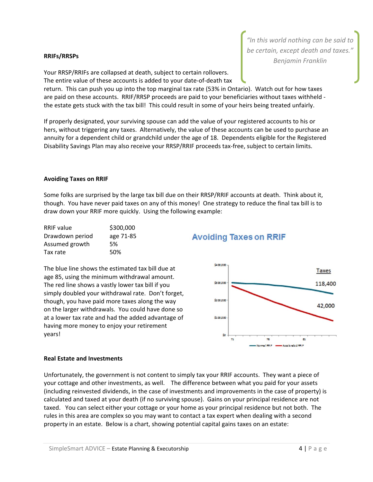*"In this world nothing can be said to be certain, except death and taxes." Benjamin Franklin* **RRIFs/RRSPs**

Your RRSP/RRIFs are collapsed at death, subject to certain rollovers. The entire value of these accounts is added to your date‐of‐death tax

return. This can push you up into the top marginal tax rate (53% in Ontario). Watch out for how taxes are paid on these accounts. RRIF/RRSP proceeds are paid to your beneficiaries without taxes withheld the estate gets stuck with the tax bill! This could result in some of your heirs being treated unfairly.

If properly designated, your surviving spouse can add the value of your registered accounts to his or hers, without triggering any taxes. Alternatively, the value of these accounts can be used to purchase an annuity for a dependent child or grandchild under the age of 18. Dependents eligible for the Registered Disability Savings Plan may also receive your RRSP/RRIF proceeds tax-free, subject to certain limits.

#### **Avoiding Taxes on RRIF**

Some folks are surprised by the large tax bill due on their RRSP/RRIF accounts at death. Think about it, though. You have never paid taxes on any of this money! One strategy to reduce the final tax bill is to draw down your RRIF more quickly. Using the following example:

| <b>RRIF</b> value | \$300,000 |
|-------------------|-----------|
| Drawdown period   | age 71-85 |
| Assumed growth    | .5%       |
| Tax rate          | 50%       |

The blue line shows the estimated tax bill due at age 85, using the minimum withdrawal amount. The red line shows a vastly lower tax bill if you simply doubled your withdrawal rate. Don't forget, though, you have paid more taxes along the way on the larger withdrawals. You could have done so at a lower tax rate and had the added advantage of having more money to enjoy your retirement years!

#### **Avoiding Taxes on RRIF**



#### **Real Estate and Investments**

Unfortunately, the government is not content to simply tax your RRIF accounts. They want a piece of your cottage and other investments, as well. The difference between what you paid for your assets (including reinvested dividends, in the case of investments and improvements in the case of property) is calculated and taxed at your death (if no surviving spouse). Gains on your principal residence are not taxed. You can select either your cottage or your home as your principal residence but not both. The rules in this area are complex so you may want to contact a tax expert when dealing with a second property in an estate. Below is a chart, showing potential capital gains taxes on an estate: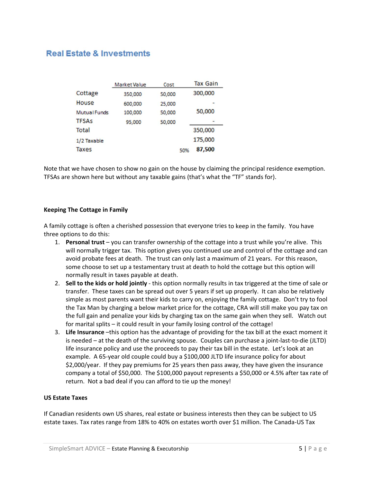### **Real Estate & Investments**

|                     | Market Value | Cost   |     | <b>Tax Gain</b> |
|---------------------|--------------|--------|-----|-----------------|
| Cottage             | 350,000      | 50,000 |     | 300,000         |
| House               | 600,000      | 25,000 |     |                 |
| <b>Mutual Funds</b> | 100,000      | 50,000 |     | 50,000          |
| <b>TFSAs</b>        | 95,000       | 50,000 |     |                 |
| Total               |              |        |     | 350,000         |
| 1/2 Taxable         |              |        |     | 175,000         |
| <b>Taxes</b>        |              |        | 50% | 87,500          |

Note that we have chosen to show no gain on the house by claiming the principal residence exemption. TFSAs are shown here but without any taxable gains (that's what the "TF" stands for).

#### **Keeping The Cottage in Family**

A family cottage is often a cherished possession that everyone tries to keep in the family. You have three options to do this:

- 1. **Personal trust** you can transfer ownership of the cottage into a trust while you're alive. This will normally trigger tax. This option gives you continued use and control of the cottage and can avoid probate fees at death. The trust can only last a maximum of 21 years. For this reason, some choose to set up a testamentary trust at death to hold the cottage but this option will normally result in taxes payable at death.
- 2. **Sell to the kids or hold jointly** ‐ this option normally results in tax triggered at the time of sale or transfer. These taxes can be spread out over 5 years if set up properly. It can also be relatively simple as most parents want their kids to carry on, enjoying the family cottage. Don't try to fool the Tax Man by charging a below market price for the cottage, CRA will still make you pay tax on the full gain and penalize your kids by charging tax on the same gain when they sell. Watch out for marital splits – it could result in your family losing control of the cottage!
- 3. **Life Insurance** –this option has the advantage of providing for the tax bill at the exact moment it is needed – at the death of the surviving spouse. Couples can purchase a joint‐last‐to‐die (JLTD) life insurance policy and use the proceeds to pay their tax bill in the estate. Let's look at an example. A 65‐year old couple could buy a \$100,000 JLTD life insurance policy for about \$2,000/year. If they pay premiums for 25 years then pass away, they have given the insurance company a total of \$50,000. The \$100,000 payout represents a \$50,000 or 4.5% after tax rate of return. Not a bad deal if you can afford to tie up the money!

#### **US Estate Taxes**

If Canadian residents own US shares, real estate or business interests then they can be subject to US estate taxes. Tax rates range from 18% to 40% on estates worth over \$1 million. The Canada‐US Tax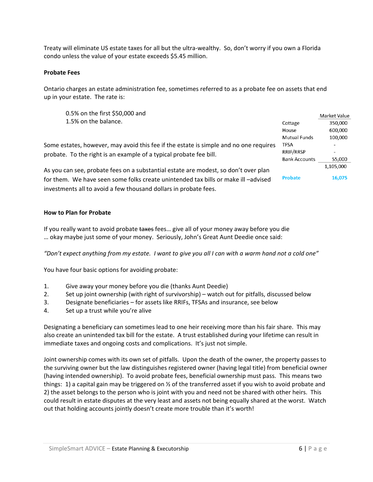Treaty will eliminate US estate taxes for all but the ultra‐wealthy. So, don't worry if you own a Florida condo unless the value of your estate exceeds \$5.45 million.

#### **Probate Fees**

Ontario charges an estate administration fee, sometimes referred to as a probate fee on assets that end up in your estate. The rate is:

0.5% on the first \$50,000 and 1.5% on the balance.

Some estates, however, may avoid this fee if the estate is simple and no one requires probate. To the right is an example of a typical probate fee bill.

As you can see, probate fees on a substantial estate are modest, so don't over plan for them. We have seen some folks create unintended tax bills or make ill –advised investments all to avoid a few thousand dollars in probate fees.

#### **How to Plan for Probate**

If you really want to avoid probate taxes fees... give all of your money away before you die … okay maybe just some of your money. Seriously, John's Great Aunt Deedie once said:

"Don't expect anything from my estate. I want to give you all I can with a warm hand not a cold one"

You have four basic options for avoiding probate:

- 1. Give away your money before you die (thanks Aunt Deedie)
- 2. Set up joint ownership (with right of survivorship) watch out for pitfalls, discussed below
- 3. Designate beneficiaries for assets like RRIFs, TFSAs and insurance, see below
- 4. Set up a trust while you're alive

Designating a beneficiary can sometimes lead to one heir receiving more than his fair share. This may also create an unintended tax bill for the estate. A trust established during your lifetime can result in immediate taxes and ongoing costs and complications. It's just not simple.

Joint ownership comes with its own set of pitfalls. Upon the death of the owner, the property passes to the surviving owner but the law distinguishes registered owner (having legal title) from beneficial owner (having intended ownership). To avoid probate fees, beneficial ownership must pass. This means two things: 1) a capital gain may be triggered on  $\frac{1}{2}$  of the transferred asset if you wish to avoid probate and 2) the asset belongs to the person who is joint with you and need not be shared with other heirs. This could result in estate disputes at the very least and assets not being equally shared at the worst. Watch out that holding accounts jointly doesn't create more trouble than it's worth!

Market Value 350,000

600,000

100,000

55,000 1,105,000

16,075

 $\overline{a}$ 

Cottage

House **Mutual Funds** 

**TFSA** RRIF/RRSP

**Probate** 

**Bank Accounts**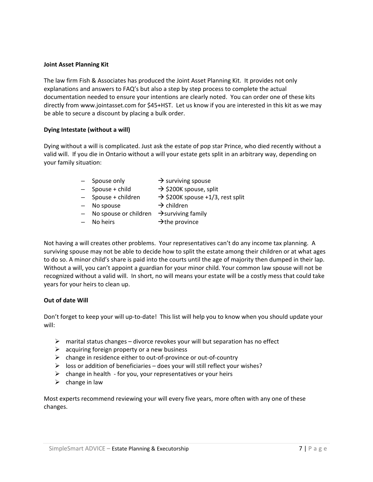#### **Joint Asset Planning Kit**

The law firm Fish & Associates has produced the Joint Asset Planning Kit. It provides not only explanations and answers to FAQ's but also a step by step process to complete the actual documentation needed to ensure your intentions are clearly noted. You can order one of these kits directly from www.jointasset.com for \$45+HST. Let us know if you are interested in this kit as we may be able to secure a discount by placing a bulk order.

#### **Dying Intestate (without a will)**

Dying without a will is complicated. Just ask the estate of pop star Prince, who died recently without a valid will. If you die in Ontario without a will your estate gets split in an arbitrary way, depending on your family situation:

- $-$  Spouse only  $\rightarrow$  surviving spouse
- $-$  Spouse + child  $\rightarrow$  \$200K spouse, split
- 
- $-$  Spouse + children  $\rightarrow$  \$200K spouse +1/3, rest split
- $-$  No spouse  $\rightarrow$  children
	-
- $-$  No spouse or children  $\rightarrow$  surviving family
- No heirs  $\rightarrow$  the province

Not having a will creates other problems. Your representatives can't do any income tax planning. A surviving spouse may not be able to decide how to split the estate among their children or at what ages to do so. A minor child's share is paid into the courts until the age of majority then dumped in their lap. Without a will, you can't appoint a guardian for your minor child. Your common law spouse will not be recognized without a valid will. In short, no will means your estate will be a costly mess that could take years for your heirs to clean up.

#### **Out of date Will**

Don't forget to keep your will up‐to‐date! This list will help you to know when you should update your will:

- $\triangleright$  marital status changes divorce revokes your will but separation has no effect
- $\triangleright$  acquiring foreign property or a new business
- change in residence either to out‐of‐province or out‐of‐country
- $\triangleright$  loss or addition of beneficiaries does your will still reflect your wishes?
- $\triangleright$  change in health for you, your representatives or your heirs
- $\triangleright$  change in law

Most experts recommend reviewing your will every five years, more often with any one of these changes.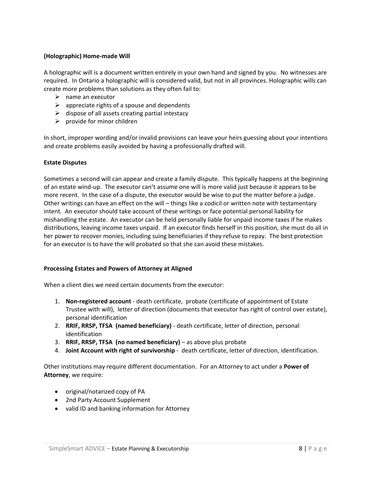#### **(Holographic) Home‐made Will**

A holographic will is a document written entirely in your own hand and signed by you. No witnesses are required. In Ontario a holographic will is considered valid, but not in all provinces. Holographic wills can create more problems than solutions as they often fail to:

- $\triangleright$  name an executor
- $\triangleright$  appreciate rights of a spouse and dependents
- $\triangleright$  dispose of all assets creating partial intestacy
- $\triangleright$  provide for minor children

In short, improper wording and/or invalid provisions can leave your heirs guessing about your intentions and create problems easily avoided by having a professionally drafted will.

#### **Estate Disputes**

Sometimes a second will can appear and create a family dispute. This typically happens at the beginning of an estate wind‐up. The executor can't assume one will is more valid just because it appears to be more recent. In the case of a dispute, the executor would be wise to put the matter before a judge. Other writings can have an effect on the will – things like a codicil or written note with testamentary intent. An executor should take account of these writings or face potential personal liability for mishandling the estate. An executor can be held personally liable for unpaid income taxes if he makes distributions, leaving income taxes unpaid. If an executor finds herself in this position, she must do all in her power to recover monies, including suing beneficiaries if they refuse to repay. The best protection for an executor is to have the will probated so that she can avoid these mistakes.

#### **Processing Estates and Powers of Attorney at Aligned**

When a client dies we need certain documents from the executor:

- 1. **Non‐registered account** ‐ death certificate, probate (certificate of appointment of Estate Trustee with will), letter of direction (documents that executor has right of control over estate), personal identification
- 2. **RRIF, RRSP, TFSA (named beneficiary)** ‐ death certificate, letter of direction, personal identification
- 3. **RRIF, RRSP, TFSA (no named beneficiary)** as above plus probate
- 4. **Joint Account with right of survivorship** ‐ death certificate, letter of direction, identification.

Other institutions may require different documentation. For an Attorney to act under a **Power of Attorney**, we require:

- original/notarized copy of PA
- 2nd Party Account Supplement
- valid ID and banking information for Attorney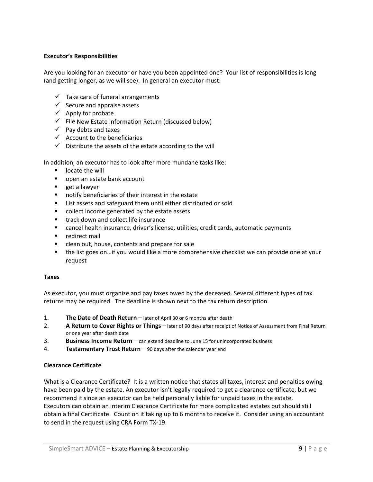#### **Executor's Responsibilities**

Are you looking for an executor or have you been appointed one? Your list of responsibilities is long (and getting longer, as we will see). In general an executor must:

- $\checkmark$  Take care of funeral arrangements
- $\checkmark$  Secure and appraise assets
- $\checkmark$  Apply for probate
- $\checkmark$  File New Estate Information Return (discussed below)
- $\checkmark$  Pay debts and taxes
- $\checkmark$  Account to the beneficiaries
- $\checkmark$  Distribute the assets of the estate according to the will

In addition, an executor has to look after more mundane tasks like:

- **If** locate the will
- open an estate bank account
- **get a lawyer**
- **notify beneficiaries of their interest in the estate**
- **EXTER** List assets and safeguard them until either distributed or sold
- collect income generated by the estate assets
- **track down and collect life insurance**
- cancel health insurance, driver's license, utilities, credit cards, automatic payments
- **P** redirect mail
- **EXTER** clean out, house, contents and prepare for sale
- the list goes on…if you would like a more comprehensive checklist we can provide one at your request

#### **Taxes**

As executor, you must organize and pay taxes owed by the deceased. Several different types of tax returns may be required. The deadline is shown next to the tax return description.

- 1. **The Date of Death Return** later of April 30 or 6 months after death
- 2. **A Return to Cover Rights or Things** later of 90 days after receipt of Notice of Assessment from Final Return or one year after death date
- 3. **Business Income Return** can extend deadline to June 15 for unincorporated business
- 4. **Testamentary Trust Return** 90 days after the calendar year end

#### **Clearance Certificate**

What is a Clearance Certificate? It is a written notice that states all taxes, interest and penalties owing have been paid by the estate. An executor isn't legally required to get a clearance certificate, but we recommend it since an executor can be held personally liable for unpaid taxes in the estate. Executors can obtain an interim Clearance Certificate for more complicated estates but should still obtain a final Certificate. Count on it taking up to 6 months to receive it. Consider using an accountant to send in the request using CRA Form TX‐19.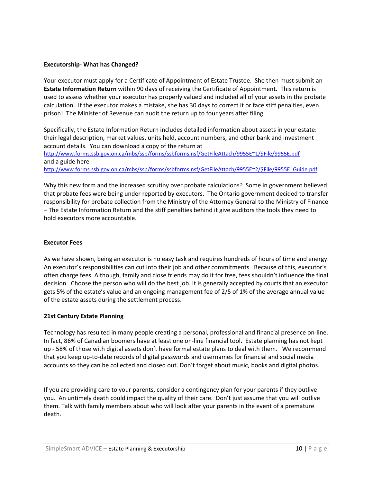#### **Executorship‐ What has Changed?**

Your executor must apply for a Certificate of Appointment of Estate Trustee. She then must submit an **Estate Information Return** within 90 days of receiving the Certificate of Appointment. This return is used to assess whether your executor has properly valued and included all of your assets in the probate calculation. If the executor makes a mistake, she has 30 days to correct it or face stiff penalties, even prison! The Minister of Revenue can audit the return up to four years after filing.

Specifically, the Estate Information Return includes detailed information about assets in your estate: their legal description, market values, units held, account numbers, and other bank and investment account details. You can download a copy of the return at

http://www.forms.ssb.gov.on.ca/mbs/ssb/forms/ssbforms.nsf/GetFileAttach/9955E~1/\$File/9955E.pdf and a guide here http://www.forms.ssb.gov.on.ca/mbs/ssb/forms/ssbforms.nsf/GetFileAttach/9955E~2/\$File/9955E\_Guide.pdf

Why this new form and the increased scrutiny over probate calculations? Some in government believed that probate fees were being under reported by executors. The Ontario government decided to transfer responsibility for probate collection from the Ministry of the Attorney General to the Ministry of Finance – The Estate Information Return and the stiff penalties behind it give auditors the tools they need to hold executors more accountable.

#### **Executor Fees**

As we have shown, being an executor is no easy task and requires hundreds of hours of time and energy. An executor's responsibilities can cut into their job and other commitments. Because of this, executor's often charge fees. Although, family and close friends may do it for free, fees shouldn't influence the final decision. Choose the person who will do the best job. It is generally accepted by courts that an executor gets 5% of the estate's value and an ongoing management fee of 2/5 of 1% of the average annual value of the estate assets during the settlement process.

#### **21st Century Estate Planning**

Technology has resulted in many people creating a personal, professional and financial presence on‐line. In fact, 86% of Canadian boomers have at least one on‐line financial tool. Estate planning has not kept up - 58% of those with digital assets don't have formal estate plans to deal with them. We recommend that you keep up‐to‐date records of digital passwords and usernames for financial and social media accounts so they can be collected and closed out. Don't forget about music, books and digital photos.

If you are providing care to your parents, consider a contingency plan for your parents if they outlive you. An untimely death could impact the quality of their care. Don't just assume that you will outlive them. Talk with family members about who will look after your parents in the event of a premature death.